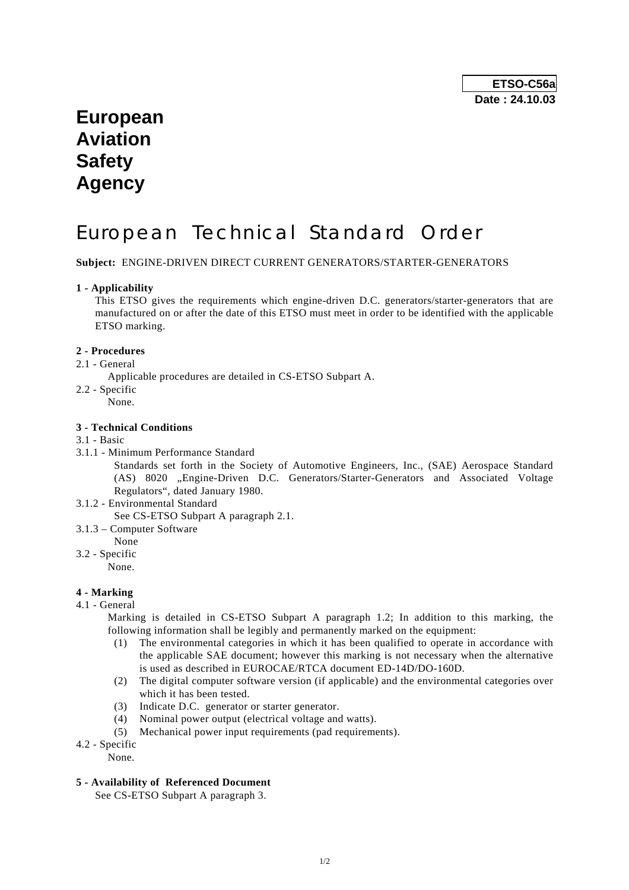## **European Aviation Safety Agency**

# European Technical Standard Order

**Subject:** ENGINE-DRIVEN DIRECT CURRENT GENERATORS/STARTER-GENERATORS

#### **1 - Applicability**

 This ETSO gives the requirements which engine-driven D.C. generators/starter-generators that are manufactured on or after the date of this ETSO must meet in order to be identified with the applicable ETSO marking.

#### **2 - Procedures**

- 2.1 General
	- Applicable procedures are detailed in CS-ETSO Subpart A.
- 2.2 Specific
	- None.

#### **3 - Technical Conditions**

#### 3.1 - Basic

3.1.1 - Minimum Performance Standard

 Standards set forth in the Society of Automotive Engineers, Inc., (SAE) Aerospace Standard (AS) 8020 "Engine-Driven D.C. Generators/Starter-Generators and Associated Voltage Regulators", dated January 1980.

- 3.1.2 Environmental Standard
- See CS-ETSO Subpart A paragraph 2.1.
- 3.1.3 Computer Software
	- None
- 3.2 Specific
	- None.

#### **4 - Marking**

4.1 - General

 Marking is detailed in CS-ETSO Subpart A paragraph 1.2; In addition to this marking, the following information shall be legibly and permanently marked on the equipment:

- (1) The environmental categories in which it has been qualified to operate in accordance with the applicable SAE document; however this marking is not necessary when the alternative is used as described in EUROCAE/RTCA document ED-14D/DO-160D.
- (2) The digital computer software version (if applicable) and the environmental categories over which it has been tested.
- (3) Indicate D.C. generator or starter generator.
- (4) Nominal power output (electrical voltage and watts).
- (5) Mechanical power input requirements (pad requirements).
- 4.2 Specific
	- None.
- **5 Availability of Referenced Document**

See CS-ETSO Subpart A paragraph 3.